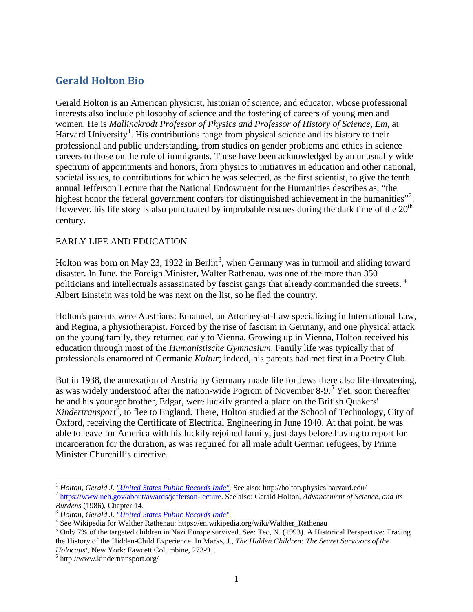# **Gerald Holton Bio**

Gerald Holton is an American physicist, historian of science, and educator, whose professional interests also include philosophy of science and the fostering of careers of young men and women. He is *Mallinckrodt Professor of Physics and Professor of History of Science, Em,* at Harvard University<sup>[1](#page-0-0)</sup>. His contributions range from physical science and its history to their professional and public understanding, from studies on gender problems and ethics in science careers to those on the role of immigrants. These have been acknowledged by an unusually wide spectrum of appointments and honors, from physics to initiatives in education and other national, societal issues, to contributions for which he was selected, as the first scientist, to give the tenth annual Jefferson Lecture that the National Endowment for the Humanities describes as, "the highest honor the federal government confers for distinguished achievement in the humanities"<sup>[2](#page-0-1)</sup>. However, his life story is also punctuated by improbable rescues during the dark time of the  $20<sup>th</sup>$ century.

#### EARLY LIFE AND EDUCATION

Holton was born on May 2[3](#page-0-2), 1922 in Berlin<sup>3</sup>, when Germany was in turmoil and sliding toward disaster. In June, the Foreign Minister, Walter Rathenau, was one of the more than 350 politicians and intellectuals assassinated by fascist gangs that already commanded the streets.<sup>[4](#page-0-3)</sup> Albert Einstein was told he was next on the list, so he fled the country.

Holton's parents were Austrians: Emanuel, an Attorney-at-Law specializing in International Law, and Regina, a physiotherapist. Forced by the rise of fascism in Germany, and one physical attack on the young family, they returned early to Vienna. Growing up in Vienna, Holton received his education through most of the *Humanistische Gymnasium*. Family life was typically that of professionals enamored of Germanic *Kultur*; indeed, his parents had met first in a Poetry Club.

But in 1938, the annexation of Austria by Germany made life for Jews there also life-threatening, as was widely understood after the nation-wide Pogrom of November 8-9.<sup>[5](#page-0-4)</sup> Yet, soon thereafter he and his younger brother, Edgar, were luckily granted a place on the British Quakers' Kindertransport<sup>[6](#page-0-5)</sup>, to flee to England. There, Holton studied at the School of Technology, City of Oxford, receiving the Certificate of Electrical Engineering in June 1940. At that point, he was able to leave for America with his luckily rejoined family, just days before having to report for incarceration for the duration, as was required for all male adult German refugees, by Prime Minister Churchill's directive.

<span id="page-0-1"></span><span id="page-0-0"></span><sup>&</sup>lt;sup>1</sup> Holton, Gerald J. <u>"United States Public Records Inde"</u>. See also: http://holton.physics.harvard.edu/<br><sup>2</sup> [https://www.neh.gov/about/awards/jefferson-lecture.](https://www.neh.gov/about/awards/jefferson-lecture) See also: Gerald Holton, Advancement of Science, and its Bu

<span id="page-0-4"></span>

<span id="page-0-3"></span><span id="page-0-2"></span><sup>&</sup>lt;sup>3</sup> Holton, Gerald J. <u>"United States Public Records Inde"</u>.<br>
<sup>4</sup> See Wikipedia for Walther Rathenau: https://en.wikipedia.org/wiki/Walther\_Rathenau<br>
<sup>5</sup> Only 7% of the targeted children in Nazi Europe survived. See: Tec, the History of the Hidden-Child Experience. In Marks, J., *The Hidden Children: The Secret Survivors of the Holocaust,* New York: Fawcett Columbine, 273-91. <sup>6</sup> http://www.kindertransport.org/

<span id="page-0-5"></span>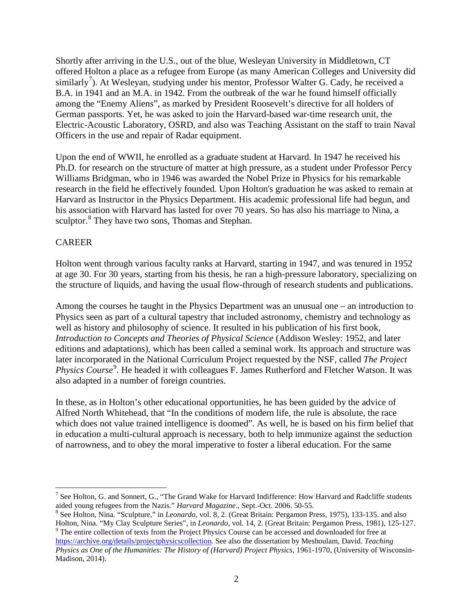Shortly after arriving in the U.S., out of the blue, Wesleyan University in Middletown, CT offered Holton a place as a refugee from Europe (as many American Colleges and University did similarly<sup>[7](#page-1-0)</sup>). At Wesleyan, studying under his mentor, Professor Walter G. Cady, he received a B.A. in 1941 and an M.A. in 1942. From the outbreak of the war he found himself officially among the "Enemy Aliens", as marked by President Roosevelt's directive for all holders of German passports. Yet, he was asked to join the Harvard-based war-time research unit, the Electric-Acoustic Laboratory, OSRD, and also was Teaching Assistant on the staff to train Naval Officers in the use and repair of Radar equipment.

Upon the end of WWII, he enrolled as a graduate student at Harvard. In 1947 he received his Ph.D. for research on the structure of matter at high pressure, as a student under Professor Percy Williams Bridgman, who in 1946 was awarded the Nobel Prize in Physics for his remarkable research in the field he effectively founded. Upon Holton's graduation he was asked to remain at Harvard as Instructor in the Physics Department. His academic professional life had begun, and his association with Harvard has lasted for over 70 years. So has also his marriage to Nina, a sculptor.<sup>[8](#page-1-1)</sup> They have two sons, Thomas and Stephan.

## CAREER

Holton went through various faculty ranks at Harvard, starting in 1947, and was tenured in 1952 at age 30. For 30 years, starting from his thesis, he ran a high-pressure laboratory, specializing on the structure of liquids, and having the usual flow-through of research students and publications.

Among the courses he taught in the Physics Department was an unusual one – an introduction to Physics seen as part of a cultural tapestry that included astronomy, chemistry and technology as well as history and philosophy of science. It resulted in his publication of his first book, *Introduction to Concepts and Theories of Physical Science* (Addison Wesley: 1952, and later editions and adaptations), which has been called a seminal work. Its approach and structure was later incorporated in the National Curriculum Project requested by the NSF, called *The Project*  Physics Course<sup>[9](#page-1-2)</sup>. He headed it with colleagues F. James Rutherford and Fletcher Watson. It was also adapted in a number of foreign countries.

In these, as in Holton's other educational opportunities, he has been guided by the advice of Alfred North Whitehead, that "In the conditions of modern life, the rule is absolute, the race which does not value trained intelligence is doomed". As well, he is based on his firm belief that in education a multi-cultural approach is necessary, both to help immunize against the seduction of narrowness, and to obey the moral imperative to foster a liberal education. For the same

<span id="page-1-0"></span><sup>&</sup>lt;sup>7</sup> See Holton, G. and Sonnert, G., "The Grand Wake for Harvard Indifference: How Harvard and Radcliffe students aided young refugees from the Nazis." *Harvard Magazine*., Sept.-Oct. 2006. 50-55.

<span id="page-1-1"></span><sup>&</sup>lt;sup>8</sup> See Holton, Nina. "Sculpture," in *Leonardo*, vol. 8, 2. (Great Britain: Pergamon Press, 1975), 133-135. and also<br>Holton, Nina. "My Clay Sculpture Series", in *Leonardo*, vol. 14, 2. (Great Britain: Pergamon Press, 198 <sup>9</sup> The entire collection of texts from the Project Physics Course can be accessed and downloaded for free at

<span id="page-1-2"></span>[https://archive.org/details/projectphysicscollection.](https://archive.org/details/projectphysicscollection) See also the dissertation by Meshoulam, David. *Teaching Physics as One of the Humanities: The History of (Harvard) Project Physics,* 1961-1970, (University of Wisconsin-Madison, 2014).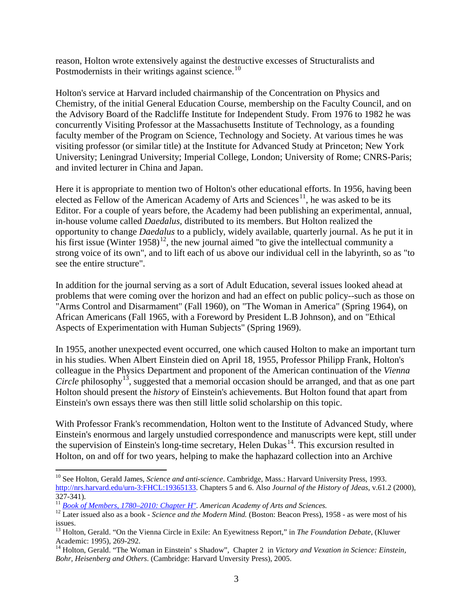reason, Holton wrote extensively against the destructive excesses of Structuralists and Postmodernists in their writings against science.<sup>[10](#page-2-0)</sup>

Holton's service at Harvard included chairmanship of the Concentration on Physics and Chemistry, of the initial General Education Course, membership on the Faculty Council, and on the Advisory Board of the Radcliffe Institute for Independent Study. From 1976 to 1982 he was concurrently Visiting Professor at the Massachusetts Institute of Technology, as a founding faculty member of the Program on Science, Technology and Society. At various times he was visiting professor (or similar title) at the Institute for Advanced Study at Princeton; New York University; Leningrad University; Imperial College, London; University of Rome; CNRS-Paris; and invited lecturer in China and Japan.

Here it is appropriate to mention two of Holton's other educational efforts. In 1956, having been elected as Fellow of the American Academy of Arts and Sciences<sup>[11](#page-2-1)</sup>, he was asked to be its Editor. For a couple of years before, the Academy had been publishing an experimental, annual, in-house volume called *Daedalus*, distributed to its members. But Holton realized the opportunity to change *Daedalus* to a publicly, widely available, quarterly journal. As he put it in his first issue (Winter 1958)<sup>[12](#page-2-2)</sup>, the new journal aimed "to give the intellectual community a strong voice of its own", and to lift each of us above our individual cell in the labyrinth, so as "to see the entire structure".

In addition for the journal serving as a sort of Adult Education, several issues looked ahead at problems that were coming over the horizon and had an effect on public policy--such as those on "Arms Control and Disarmament" (Fall 1960), on "The Woman in America" (Spring 1964), on African Americans (Fall 1965, with a Foreword by President L.B Johnson), and on "Ethical Aspects of Experimentation with Human Subjects" (Spring 1969).

In 1955, another unexpected event occurred, one which caused Holton to make an important turn in his studies. When Albert Einstein died on April 18, 1955, Professor Philipp Frank, Holton's colleague in the Physics Department and proponent of the American continuation of the *Vienna Circle* philosophy<sup>[13](#page-2-3)</sup>, suggested that a memorial occasion should be arranged, and that as one part Holton should present the *history* of Einstein's achievements. But Holton found that apart from Einstein's own essays there was then still little solid scholarship on this topic.

With Professor Frank's recommendation, Holton went to the Institute of Advanced Study, where Einstein's enormous and largely unstudied correspondence and manuscripts were kept, still under the supervision of Einstein's long-time secretary, Helen Dukas<sup>[14](#page-2-4)</sup>. This excursion resulted in Holton, on and off for two years, helping to make the haphazard collection into an Archive

<span id="page-2-0"></span> <sup>10</sup> See Holton, Gerald James, *Science and anti-science*. Cambridge, Mass.: Harvard University Press, 1993. [http://nrs.harvard.edu/urn-3:FHCL:19365133.](http://nrs.harvard.edu/urn-3:FHCL:19365133) Chapters 5 and 6. Also *Journal of the History of Jdeas,* v.61.2 (2000),

<span id="page-2-2"></span><span id="page-2-1"></span><sup>&</sup>lt;sup>11</sup> [Book of Members, 1780–2010: Chapter H".](http://www.amacad.org/publications/BookofMembers/ChapterH.pdf) American Academy of Arts and Sciences.<br><sup>12</sup> Later issued also as a book - Science and the Modern Mind. (Boston: Beacon Press), 1958 - as were most of his issues.

<span id="page-2-3"></span><sup>&</sup>lt;sup>13</sup> Holton, Gerald. "On the Vienna Circle in Exile: An Eyewitness Report," in *The Foundation Debate*, (Kluwer Academic: 1995), 269-292.<br><sup>14</sup> Holton, Gerald. "The Woman in Einstein' s Shadow", Chapter 2 in *Victory and Vexation in Science: Einstein*,

<span id="page-2-4"></span>*Bohr, Heisenberg and Others*. (Cambridge: Harvard Unversity Press), 2005.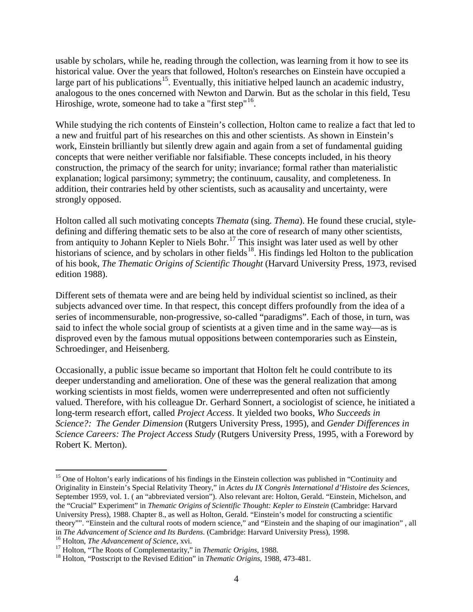usable by scholars, while he, reading through the collection, was learning from it how to see its historical value. Over the years that followed, Holton's researches on Einstein have occupied a large part of his publications<sup>15</sup>. Eventually, this initiative helped launch an academic industry, analogous to the ones concerned with Newton and Darwin. But as the scholar in this field, Tesu Hiroshige, wrote, someone had to take a "first step"<sup>[16](#page-3-1)</sup>.

While studying the rich contents of Einstein's collection, Holton came to realize a fact that led to a new and fruitful part of his researches on this and other scientists. As shown in Einstein's work, Einstein brilliantly but silently drew again and again from a set of fundamental guiding concepts that were neither verifiable nor falsifiable. These concepts included, in his theory construction, the primacy of the search for unity; invariance; formal rather than materialistic explanation; logical parsimony; symmetry; the continuum, causality, and completeness. In addition, their contraries held by other scientists, such as acausality and uncertainty, were strongly opposed.

Holton called all such motivating concepts *Themata* (sing. *Thema*). He found these crucial, styledefining and differing thematic sets to be also at the core of research of many other scientists, from antiquity to Johann Kepler to Niels Bohr.<sup>[17](#page-3-2)</sup> This insight was later used as well by other historians of science, and by scholars in other fields<sup>18</sup>. His findings led Holton to the publication of his book, *The Thematic Origins of Scientific Thought* (Harvard University Press, 1973, revised edition 1988).

Different sets of themata were and are being held by individual scientist so inclined, as their subjects advanced over time. In that respect, this concept differs profoundly from the idea of a series of incommensurable, non-progressive, so-called "paradigms". Each of those, in turn, was said to infect the whole social group of scientists at a given time and in the same way—as is disproved even by the famous mutual oppositions between contemporaries such as Einstein, Schroedinger, and Heisenberg.

Occasionally, a public issue became so important that Holton felt he could contribute to its deeper understanding and amelioration. One of these was the general realization that among working scientists in most fields, women were underrepresented and often not sufficiently valued. Therefore, with his colleague Dr. Gerhard Sonnert, a sociologist of science, he initiated a long-term research effort, called *Project Access*. It yielded two books, *Who Succeeds in Science?: The Gender Dimension* (Rutgers University Press, 1995), and *Gender Differences in Science Careers: The Project Access Study* (Rutgers University Press, 1995, with a Foreword by Robert K. Merton).

<span id="page-3-0"></span><sup>&</sup>lt;sup>15</sup> One of Holton's early indications of his findings in the Einstein collection was published in "Continuity and Originality in Einstein's Special Relativity Theory," in *Actes du IX Congrès International d'Histoire des Sciences,* September 1959, vol. 1. ( an "abbreviated version"). Also relevant are: Holton, Gerald. "Einstein, Michelson, and the "Crucial" Experiment" in *Thematic Origins of Scientific Thought: Kepler to Einstein* (Cambridge: Harvard University Press), 1988. Chapter 8., as well as Holton, Gerald. "Einstein's model for constructing a scientific theory"". "Einstein and the cultural roots of modern science," and "Einstein and the shaping of our imagination", all<br>in The Advancement of Science and Its Burdens. (Cambridge: Harvard University Press), 1998.

<span id="page-3-2"></span>

<span id="page-3-1"></span><sup>&</sup>lt;sup>16</sup> Holton, *The Advancement of Science*, xvi.<br><sup>17</sup> Holton, "The Roots of Complementarity," in *Thematic Origins*, 1988.<br><sup>18</sup> Holton, "Postscript to the Revised Edition" in *Thematic Origins*, 1988, 473-481.

<span id="page-3-3"></span>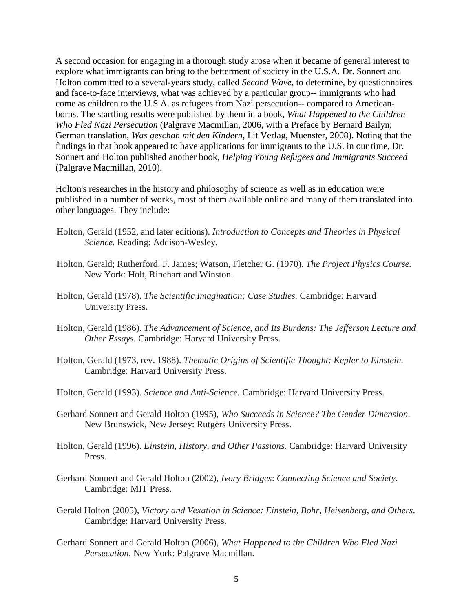A second occasion for engaging in a thorough study arose when it became of general interest to explore what immigrants can bring to the betterment of society in the U.S.A. Dr. Sonnert and Holton committed to a several-years study, called *Second Wave*, to determine, by questionnaires and face-to-face interviews, what was achieved by a particular group-- immigrants who had come as children to the U.S.A. as refugees from Nazi persecution-- compared to Americanborns. The startling results were published by them in a book, *What Happened to the Children Who Fled Nazi Persecution* (Palgrave Macmillan, 2006, with a Preface by Bernard Bailyn; German translation, *Was geschah mit den Kindern*, Lit Verlag, Muenster, 2008). Noting that the findings in that book appeared to have applications for immigrants to the U.S. in our time, Dr. Sonnert and Holton published another book, *Helping Young Refugees and Immigrants Succeed* (Palgrave Macmillan, 2010).

Holton's researches in the history and philosophy of science as well as in education were published in a number of works, most of them available online and many of them translated into other languages. They include:

- Holton, Gerald (1952, and later editions). *Introduction to Concepts and Theories in Physical Science.* Reading: Addison-Wesley.
- Holton, Gerald; Rutherford, F. James; Watson, Fletcher G. (1970). *The Project Physics Course.*  New York: Holt, Rinehart and Winston.
- Holton, Gerald (1978). *The Scientific Imagination: Case Studies.* Cambridge: Harvard University Press.
- Holton, Gerald (1986). *The Advancement of Science, and Its Burdens: The Jefferson Lecture and Other Essays.* Cambridge: Harvard University Press.
- Holton, Gerald (1973, rev. 1988). *Thematic Origins of Scientific Thought: Kepler to Einstein.*  Cambridge: Harvard University Press.
- Holton, Gerald (1993). *Science and Anti-Science.* Cambridge: Harvard University Press.
- Gerhard Sonnert and Gerald Holton (1995), *Who Succeeds in Science? The Gender Dimension*. New Brunswick, New Jersey: Rutgers University Press.
- Holton, Gerald (1996). *Einstein, History, and Other Passions.* Cambridge: Harvard University Press.
- Gerhard Sonnert and Gerald Holton (2002), *Ivory Bridges*: *Connecting Science and Society*. Cambridge: MIT Press.
- Gerald Holton (2005), *Victory and Vexation in Science: Einstein, Bohr, Heisenberg, and Others*. Cambridge: Harvard University Press.
- Gerhard Sonnert and Gerald Holton (2006), *What Happened to the Children Who Fled Nazi Persecution*. New York: Palgrave Macmillan.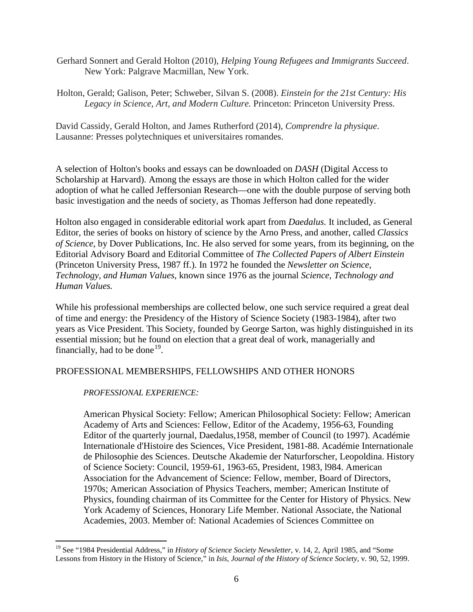- Gerhard Sonnert and Gerald Holton (2010), *Helping Young Refugees and Immigrants Succeed*. New York: Palgrave Macmillan, New York.
- Holton, Gerald; Galison, Peter; Schweber, Silvan S. (2008). *Einstein for the 21st Century: His Legacy in Science, Art, and Modern Culture.* Princeton: Princeton University Press.

David Cassidy, Gerald Holton, and James Rutherford (2014), *Comprendre la physique*. Lausanne: Presses polytechniques et universitaires romandes.

A selection of Holton's books and essays can be downloaded on *[DASH](https://dash.harvard.edu/advanced-search?num_search_field=3&results_per_page=10&scope=%2F&field1=author&query1=Holton%2C+Gerald&conjunction2=AND&field2=ANY&query2=&conjunction3=AND&field3=ANY&query3=&rpp=10&sort_by=0&order=DESC&submit=Go)* (Digital Access to Scholarship at Harvard). Among the essays are those in which Holton called for the wider adoption of what he called Jeffersonian Research—one with the double purpose of serving both basic investigation and the needs of society, as Thomas Jefferson had done repeatedly.

Holton also engaged in considerable editorial work apart from *Daedalus.* It included, as General Editor, the series of books on history of science by the Arno Press, and another, called *Classics of Science*, by Dover Publications, Inc. He also served for some years, from its beginning, on the Editorial Advisory Board and Editorial Committee of *The Collected Papers of Albert Einstein* (Princeton University Press, 1987 ff.). In 1972 he founded the *Newsletter on Science*, *Technology, and Human Values*, known since 1976 as the journal *Science, Technology and Human Values.*

While his professional memberships are collected below, one such service required a great deal of time and energy: the Presidency of the History of Science Society (1983-1984), after two years as Vice President. This Society, founded by George Sarton, was highly distinguished in its essential mission; but he found on election that a great deal of work, managerially and financially, had to be done<sup>[19](#page-5-0)</sup>.

## PROFESSIONAL MEMBERSHIPS, FELLOWSHIPS AND OTHER HONORS

## *PROFESSIONAL EXPERIENCE:*

American Physical Society: Fellow; American Philosophical Society: Fellow; American Academy of Arts and Sciences: Fellow, Editor of the Academy, 1956-63, Founding Editor of the quarterly journal, Daedalus,1958, member of Council (to 1997). Académie Internationale d'Histoire des Sciences, Vice President, 1981-88. Académie Internationale de Philosophie des Sciences. Deutsche Akademie der Naturforscher, Leopoldina. History of Science Society: Council, 1959-61, 1963-65, President, 1983, l984. American Association for the Advancement of Science: Fellow, member, Board of Directors, 1970s; American Association of Physics Teachers, member; American Institute of Physics, founding chairman of its Committee for the Center for History of Physics. New York Academy of Sciences, Honorary Life Member. National Associate, the National Academies, 2003. Member of: National Academies of Sciences Committee on

<span id="page-5-0"></span><sup>&</sup>lt;sup>19</sup> See "1984 Presidential Address," in *History of Science Society Newsletter*, v. 14, 2, April 1985, and "Some Lessons from History in the History of Science," in *Isis, Journal of the History of Science Society,* v. 90, 52, 1999.